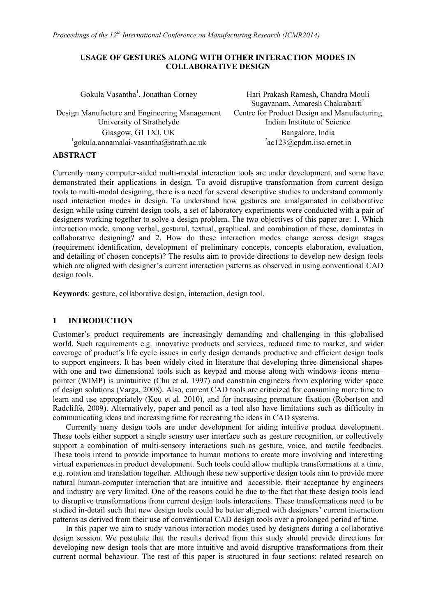#### **USAGE OF GESTURES ALONG WITH OTHER INTERACTION MODES IN COLLABORATIVE DESIGN**

| Gokula Vasantha <sup>1</sup> , Jonathan Corney       | Hari Prakash Ramesh, Chandra Mouli<br>Sugavanam, Amaresh Chakrabarti <sup>2</sup> |
|------------------------------------------------------|-----------------------------------------------------------------------------------|
| Design Manufacture and Engineering Management        | Centre for Product Design and Manufacturing                                       |
| University of Strathclyde                            | Indian Institute of Science                                                       |
| Glasgow, G1 1XJ, UK                                  | Bangalore, India                                                                  |
| $\frac{1}{2}$ gokula.annamalai-vasantha@strath.ac.uk | $a$ c123@cpdm.iisc.ernet.in                                                       |
| $\sqrt{N}$                                           |                                                                                   |

### **ABSTRACT**

Currently many computer-aided multi-modal interaction tools are under development, and some have demonstrated their applications in design. To avoid disruptive transformation from current design tools to multi-modal designing, there is a need for several descriptive studies to understand commonly used interaction modes in design. To understand how gestures are amalgamated in collaborative design while using current design tools, a set of laboratory experiments were conducted with a pair of designers working together to solve a design problem. The two objectives of this paper are: 1. Which interaction mode, among verbal, gestural, textual, graphical, and combination of these, dominates in collaborative designing? and 2. How do these interaction modes change across design stages (requirement identification, development of preliminary concepts, concepts elaboration, evaluation, and detailing of chosen concepts)? The results aim to provide directions to develop new design tools which are aligned with designer's current interaction patterns as observed in using conventional CAD design tools.

**Keywords**: gesture, collaborative design, interaction, design tool.

## **1 INTRODUCTION**

Customer's product requirements are increasingly demanding and challenging in this globalised world. Such requirements e.g. innovative products and services, reduced time to market, and wider coverage of product's life cycle issues in early design demands productive and efficient design tools to support engineers. It has been widely cited in literature that developing three dimensional shapes with one and two dimensional tools such as keypad and mouse along with windows–icons–menu– pointer (WIMP) is unintuitive (Chu et al. 1997) and constrain engineers from exploring wider space of design solutions (Varga, 2008). Also, current CAD tools are criticized for consuming more time to learn and use appropriately (Kou et al. 2010), and for increasing premature fixation (Robertson and Radcliffe, 2009). Alternatively, paper and pencil as a tool also have limitations such as difficulty in communicating ideas and increasing time for recreating the ideas in CAD systems.

Currently many design tools are under development for aiding intuitive product development. These tools either support a single sensory user interface such as gesture recognition, or collectively support a combination of multi-sensory interactions such as gesture, voice, and tactile feedbacks. These tools intend to provide importance to human motions to create more involving and interesting virtual experiences in product development. Such tools could allow multiple transformations at a time, e.g. rotation and translation together. Although these new supportive design tools aim to provide more natural human-computer interaction that are intuitive and accessible, their acceptance by engineers and industry are very limited. One of the reasons could be due to the fact that these design tools lead to disruptive transformations from current design tools interactions. These transformations need to be studied in-detail such that new design tools could be better aligned with designers' current interaction patterns as derived from their use of conventional CAD design tools over a prolonged period of time.

In this paper we aim to study various interaction modes used by designers during a collaborative design session. We postulate that the results derived from this study should provide directions for developing new design tools that are more intuitive and avoid disruptive transformations from their current normal behaviour. The rest of this paper is structured in four sections: related research on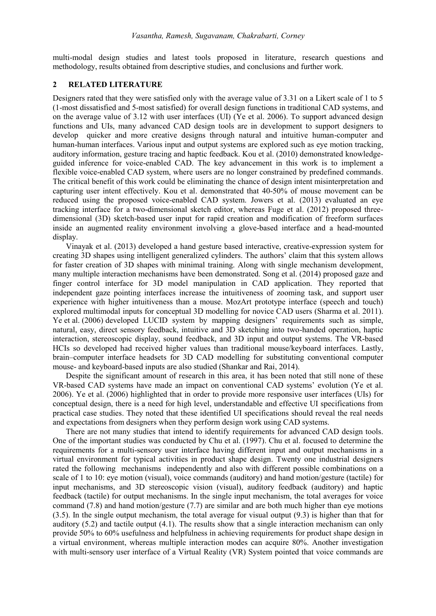multi-modal design studies and latest tools proposed in literature, research questions and methodology, results obtained from descriptive studies, and conclusions and further work.

### **2 RELATED LITERATURE**

Designers rated that they were satisfied only with the average value of 3.31 on a Likert scale of 1 to 5 (1-most dissatisfied and 5-most satisfied) for overall design functions in traditional CAD systems, and on the average value of 3.12 with user interfaces (UI) (Ye et al. 2006). To support advanced design functions and UIs, many advanced CAD design tools are in development to support designers to develop quicker and more creative designs through natural and intuitive human-computer and human-human interfaces. Various input and output systems are explored such as eye motion tracking, auditory information, gesture tracing and haptic feedback. Kou et al. (2010) demonstrated knowledgeguided inference for voice-enabled CAD. The key advancement in this work is to implement a flexible voice-enabled CAD system, where users are no longer constrained by predefined commands. The critical benefit of this work could be eliminating the chance of design intent misinterpretation and capturing user intent effectively. Kou et al. demonstrated that 40-50% of mouse movement can be reduced using the proposed voice-enabled CAD system. Jowers et al. (2013) evaluated an eye tracking interface for a two-dimensional sketch editor, whereas Fuge et al. (2012) proposed threedimensional (3D) sketch-based user input for rapid creation and modification of freeform surfaces inside an augmented reality environment involving a glove-based interface and a head-mounted display.

Vinayak et al. (2013) developed a hand gesture based interactive, creative-expression system for creating 3D shapes using intelligent generalized cylinders. The authors' claim that this system allows for faster creation of 3D shapes with minimal training. Along with single mechanism development, many multiple interaction mechanisms have been demonstrated. Song et al. (2014) proposed gaze and finger control interface for 3D model manipulation in CAD application. They reported that independent gaze pointing interfaces increase the intuitiveness of zooming task, and support user experience with higher intuitiveness than a mouse. MozArt prototype interface (speech and touch) explored multimodal inputs for conceptual 3D modelling for novice CAD users (Sharma et al. 2011). Ye et al. (2006) developed LUCID system by mapping designers' requirements such as simple, natural, easy, direct sensory feedback, intuitive and 3D sketching into two-handed operation, haptic interaction, stereoscopic display, sound feedback, and 3D input and output systems. The VR-based HCIs so developed had received higher values than traditional mouse/keyboard interfaces. Lastly, brain–computer interface headsets for 3D CAD modelling for substituting conventional computer mouse- and keyboard-based inputs are also studied (Shankar and Rai, 2014).

Despite the significant amount of research in this area, it has been noted that still none of these VR-based CAD systems have made an impact on conventional CAD systems' evolution (Ye et al. 2006). Ye et al. (2006) highlighted that in order to provide more responsive user interfaces (UIs) for conceptual design, there is a need for high level, understandable and effective UI specifications from practical case studies. They noted that these identified UI specifications should reveal the real needs and expectations from designers when they perform design work using CAD systems.

There are not many studies that intend to identify requirements for advanced CAD design tools. One of the important studies was conducted by Chu et al. (1997). Chu et al. focused to determine the requirements for a multi-sensory user interface having different input and output mechanisms in a virtual environment for typical activities in product shape design. Twenty one industrial designers rated the following mechanisms independently and also with different possible combinations on a scale of 1 to 10: eye motion (visual), voice commands (auditory) and hand motion/gesture (tactile) for input mechanisms, and 3D stereoscopic vision (visual), auditory feedback (auditory) and haptic feedback (tactile) for output mechanisms. In the single input mechanism, the total averages for voice command (7.8) and hand motion/gesture (7.7) are similar and are both much higher than eye motions (3.5). In the single output mechanism, the total average for visual output (9.3) is higher than that for auditory (5.2) and tactile output (4.1). The results show that a single interaction mechanism can only provide 50% to 60% usefulness and helpfulness in achieving requirements for product shape design in a virtual environment, whereas multiple interaction modes can acquire 80%. Another investigation with multi-sensory user interface of a Virtual Reality (VR) System pointed that voice commands are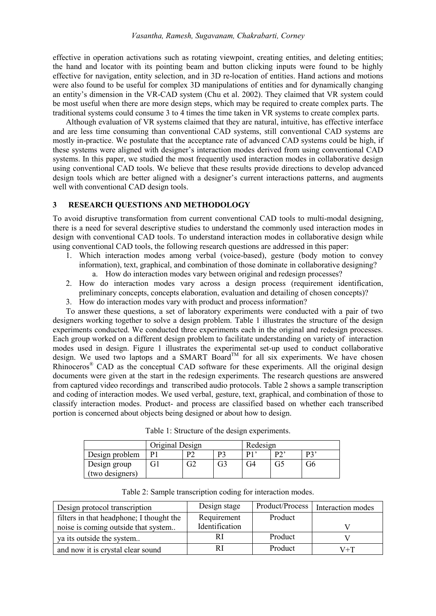effective in operation activations such as rotating viewpoint, creating entities, and deleting entities; the hand and locator with its pointing beam and button clicking inputs were found to be highly effective for navigation, entity selection, and in 3D re-location of entities. Hand actions and motions were also found to be useful for complex 3D manipulations of entities and for dynamically changing an entity's dimension in the VR-CAD system (Chu et al. 2002). They claimed that VR system could be most useful when there are more design steps, which may be required to create complex parts. The traditional systems could consume 3 to 4 times the time taken in VR systems to create complex parts.

Although evaluation of VR systems claimed that they are natural, intuitive, has effective interface and are less time consuming than conventional CAD systems, still conventional CAD systems are mostly in-practice. We postulate that the acceptance rate of advanced CAD systems could be high, if these systems were aligned with designer's interaction modes derived from using conventional CAD systems. In this paper, we studied the most frequently used interaction modes in collaborative design using conventional CAD tools. We believe that these results provide directions to develop advanced design tools which are better aligned with a designer's current interactions patterns, and augments well with conventional CAD design tools.

### **3 RESEARCH QUESTIONS AND METHODOLOGY**

To avoid disruptive transformation from current conventional CAD tools to multi-modal designing, there is a need for several descriptive studies to understand the commonly used interaction modes in design with conventional CAD tools. To understand interaction modes in collaborative design while using conventional CAD tools, the following research questions are addressed in this paper:

- 1. Which interaction modes among verbal (voice-based), gesture (body motion to convey information), text, graphical, and combination of those dominate in collaborative designing?
	- a. How do interaction modes vary between original and redesign processes?
- 2. How do interaction modes vary across a design process (requirement identification, preliminary concepts, concepts elaboration, evaluation and detailing of chosen concepts)?
- 3. How do interaction modes vary with product and process information?

To answer these questions, a set of laboratory experiments were conducted with a pair of two designers working together to solve a design problem. Table 1 illustrates the structure of the design experiments conducted. We conducted three experiments each in the original and redesign processes. Each group worked on a different design problem to facilitate understanding on variety of interaction modes used in design. Figure 1 illustrates the experimental set-up used to conduct collaborative design. We used two laptops and a SMART Board<sup>TM</sup> for all six experiments. We have chosen Rhinoceros<sup>®</sup> CAD as the conceptual CAD software for these experiments. All the original design documents were given at the start in the redesign experiments. The research questions are answered from captured video recordings and transcribed audio protocols. Table 2 shows a sample transcription and coding of interaction modes. We used verbal, gesture, text, graphical, and combination of those to classify interaction modes. Product- and process are classified based on whether each transcribed portion is concerned about objects being designed or about how to design.

|                 | Original Design |    |    | Redesign |                              |                |
|-----------------|-----------------|----|----|----------|------------------------------|----------------|
| Design problem  | D1              | D٦ | מח | D1       | $\mathbf{D} \mathbf{\Omega}$ | D <sub>2</sub> |
| Design group    | Gl              |    | G3 | G4       | 65                           | Jθ             |
| (two designers) |                 |    |    |          |                              |                |

Table 1: Structure of the design experiments.

| Table 2: Sample transcription coding for interaction modes. |  |  |
|-------------------------------------------------------------|--|--|

| Design protocol transcription            | Design stage   |         | Product/Process   Interaction modes |
|------------------------------------------|----------------|---------|-------------------------------------|
| filters in that headphone; I thought the | Requirement    | Product |                                     |
| noise is coming outside that system      | Identification |         |                                     |
| ya its outside the system                |                | Product |                                     |
| and now it is crystal clear sound        |                | Product | V+T                                 |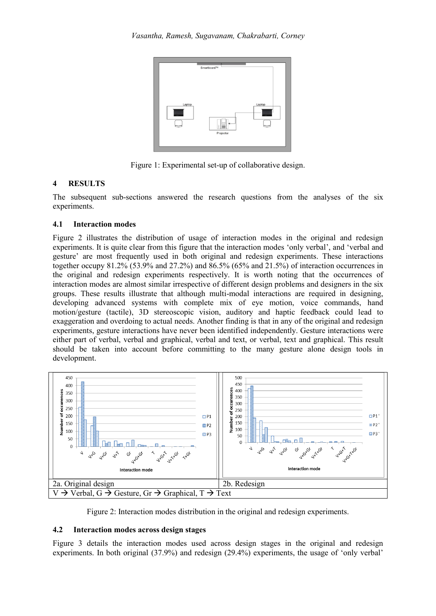

Figure 1: Experimental set-up of collaborative design.

# **4 RESULTS**

The subsequent sub-sections answered the research questions from the analyses of the six experiments.

# **4.1 Interaction modes**

Figure 2 illustrates the distribution of usage of interaction modes in the original and redesign experiments. It is quite clear from this figure that the interaction modes 'only verbal', and 'verbal and gesture' are most frequently used in both original and redesign experiments. These interactions together occupy 81.2% (53.9% and 27.2%) and 86.5% (65% and 21.5%) of interaction occurrences in the original and redesign experiments respectively. It is worth noting that the occurrences of interaction modes are almost similar irrespective of different design problems and designers in the six groups. These results illustrate that although multi-modal interactions are required in designing, developing advanced systems with complete mix of eye motion, voice commands, hand motion/gesture (tactile), 3D stereoscopic vision, auditory and haptic feedback could lead to exaggeration and overdoing to actual needs. Another finding is that in any of the original and redesign experiments, gesture interactions have never been identified independently. Gesture interactions were either part of verbal, verbal and graphical, verbal and text, or verbal, text and graphical. This result should be taken into account before committing to the many gesture alone design tools in development.



Figure 2: Interaction modes distribution in the original and redesign experiments.

## **4.2 Interaction modes across design stages**

Figure 3 details the interaction modes used across design stages in the original and redesign experiments. In both original (37.9%) and redesign (29.4%) experiments, the usage of 'only verbal'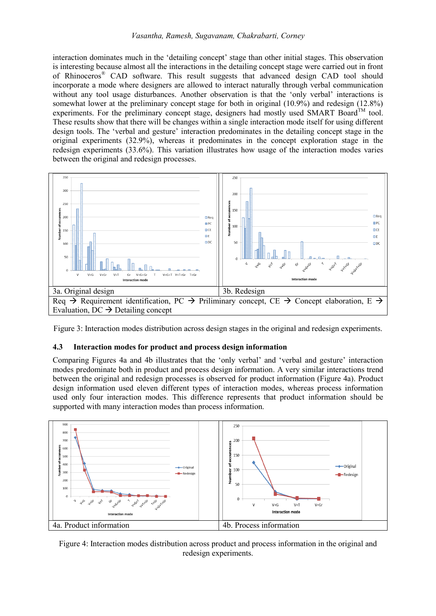interaction dominates much in the 'detailing concept' stage than other initial stages. This observation is interesting because almost all the interactions in the detailing concept stage were carried out in front of Rhinoceros® CAD software. This result suggests that advanced design CAD tool should incorporate a mode where designers are allowed to interact naturally through verbal communication without any tool usage disturbances. Another observation is that the 'only verbal' interactions is somewhat lower at the preliminary concept stage for both in original (10.9%) and redesign (12.8%) experiments. For the preliminary concept stage, designers had mostly used SMART Board<sup>TM</sup> tool. These results show that there will be changes within a single interaction mode itself for using different design tools. The 'verbal and gesture' interaction predominates in the detailing concept stage in the original experiments (32.9%), whereas it predominates in the concept exploration stage in the redesign experiments (33.6%). This variation illustrates how usage of the interaction modes varies between the original and redesign processes.



Figure 3: Interaction modes distribution across design stages in the original and redesign experiments.

### **4.3 Interaction modes for product and process design information**

Comparing Figures 4a and 4b illustrates that the 'only verbal' and 'verbal and gesture' interaction modes predominate both in product and process design information. A very similar interactions trend between the original and redesign processes is observed for product information (Figure 4a). Product design information used eleven different types of interaction modes, whereas process information used only four interaction modes. This difference represents that product information should be supported with many interaction modes than process information.



Figure 4: Interaction modes distribution across product and process information in the original and redesign experiments.